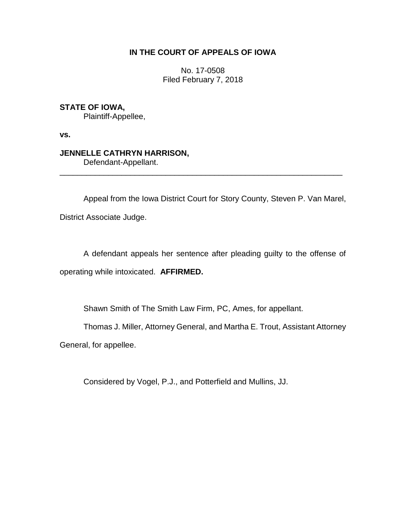## **IN THE COURT OF APPEALS OF IOWA**

No. 17-0508 Filed February 7, 2018

**STATE OF IOWA,**

Plaintiff-Appellee,

**vs.**

# **JENNELLE CATHRYN HARRISON,**

Defendant-Appellant.

Appeal from the Iowa District Court for Story County, Steven P. Van Marel,

\_\_\_\_\_\_\_\_\_\_\_\_\_\_\_\_\_\_\_\_\_\_\_\_\_\_\_\_\_\_\_\_\_\_\_\_\_\_\_\_\_\_\_\_\_\_\_\_\_\_\_\_\_\_\_\_\_\_\_\_\_\_\_\_

District Associate Judge.

A defendant appeals her sentence after pleading guilty to the offense of operating while intoxicated. **AFFIRMED.**

Shawn Smith of The Smith Law Firm, PC, Ames, for appellant.

Thomas J. Miller, Attorney General, and Martha E. Trout, Assistant Attorney

General, for appellee.

Considered by Vogel, P.J., and Potterfield and Mullins, JJ.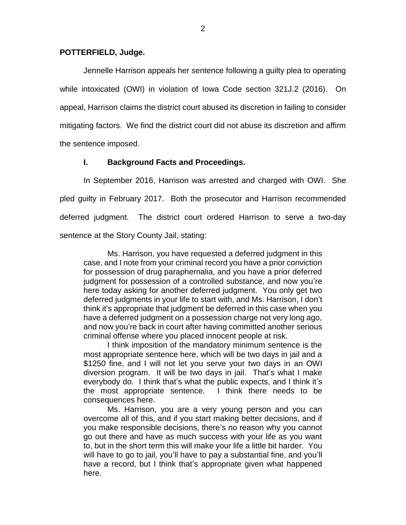#### **POTTERFIELD, Judge.**

Jennelle Harrison appeals her sentence following a guilty plea to operating while intoxicated (OWI) in violation of Iowa Code section 321J.2 (2016). On appeal, Harrison claims the district court abused its discretion in failing to consider mitigating factors. We find the district court did not abuse its discretion and affirm the sentence imposed.

### **I. Background Facts and Proceedings.**

In September 2016, Harrison was arrested and charged with OWI. She pled guilty in February 2017. Both the prosecutor and Harrison recommended deferred judgment. The district court ordered Harrison to serve a two-day sentence at the Story County Jail, stating:

Ms. Harrison, you have requested a deferred judgment in this case, and I note from your criminal record you have a prior conviction for possession of drug paraphernalia, and you have a prior deferred judgment for possession of a controlled substance, and now you're here today asking for another deferred judgment. You only get two deferred judgments in your life to start with, and Ms. Harrison, I don't think it's appropriate that judgment be deferred in this case when you have a deferred judgment on a possession charge not very long ago, and now you're back in court after having committed another serious criminal offense where you placed innocent people at risk.

I think imposition of the mandatory minimum sentence is the most appropriate sentence here, which will be two days in jail and a \$1250 fine, and I will not let you serve your two days in an OWI diversion program. It will be two days in jail. That's what I make everybody do. I think that's what the public expects, and I think it's the most appropriate sentence. I think there needs to be consequences here.

Ms. Harrison, you are a very young person and you can overcome all of this, and if you start making better decisions, and if you make responsible decisions, there's no reason why you cannot go out there and have as much success with your life as you want to, but in the short term this will make your life a little bit harder. You will have to go to jail, you'll have to pay a substantial fine, and you'll have a record, but I think that's appropriate given what happened here.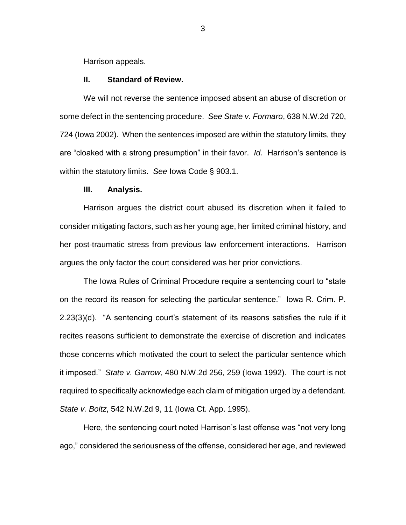Harrison appeals.

#### **II. Standard of Review.**

We will not reverse the sentence imposed absent an abuse of discretion or some defect in the sentencing procedure. *See State v. Formaro*, 638 N.W.2d 720, 724 (Iowa 2002). When the sentences imposed are within the statutory limits, they are "cloaked with a strong presumption" in their favor. *Id.* Harrison's sentence is within the statutory limits. *See* Iowa Code § 903.1.

#### **III. Analysis.**

Harrison argues the district court abused its discretion when it failed to consider mitigating factors, such as her young age, her limited criminal history, and her post-traumatic stress from previous law enforcement interactions. Harrison argues the only factor the court considered was her prior convictions.

The Iowa Rules of Criminal Procedure require a sentencing court to "state on the record its reason for selecting the particular sentence." Iowa R. Crim. P. 2.23(3)(d). "A sentencing court's statement of its reasons satisfies the rule if it recites reasons sufficient to demonstrate the exercise of discretion and indicates those concerns which motivated the court to select the particular sentence which it imposed." *State v. Garrow*, 480 N.W.2d 256, 259 (Iowa 1992). The court is not required to specifically acknowledge each claim of mitigation urged by a defendant. *State v. Boltz*, 542 N.W.2d 9, 11 (Iowa Ct. App. 1995).

Here, the sentencing court noted Harrison's last offense was "not very long ago," considered the seriousness of the offense, considered her age, and reviewed

3